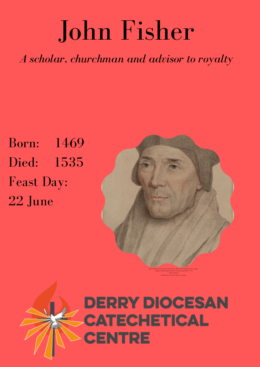## John Fisher

*A scholar, churchman and advisor to royalty*

Born: 1469 Died: 1535 Feast Day: 22 June